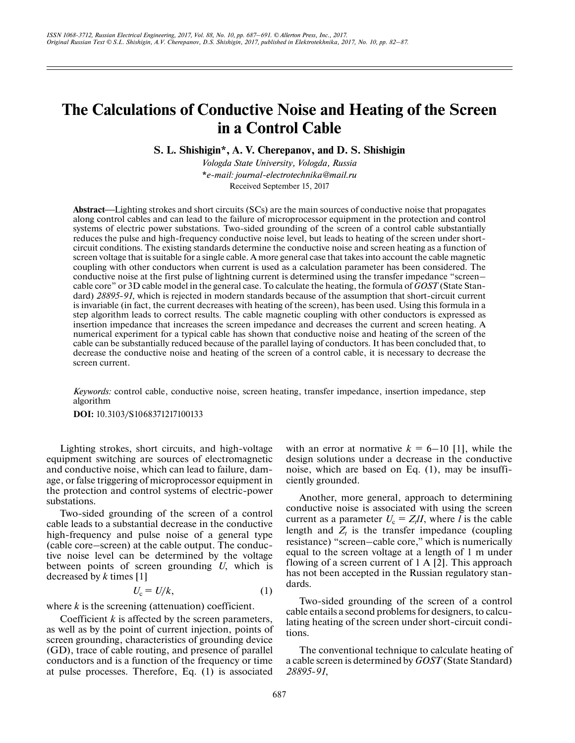## **The Calculations of Conductive Noise and Heating of the Screen in a Control Cable**

**S. L. Shishigin\*, A. V. Cherepanov, and D. S. Shishigin**

*Vologda State University, Vologda, Russia* **\****e-mail: journal-electrotechnika@mail.ru* Received September 15, 2017

Abstract—Lighting strokes and short circuits (SCs) are the main sources of conductive noise that propagates along control cables and can lead to the failure of microprocessor equipment in the protection and control systems of electric power substations. Two-sided grounding of the screen of a control cable substantially reduces the pulse and high-frequency conductive noise level, but leads to heating of the screen under shortcircuit conditions. The existing standards determine the conductive noise and screen heating as a function of screen voltage that is suitable for a single cable. A more general case that takes into account the cable magnetic coupling with other conductors when current is used as a calculation parameter has been considered. The conductive noise at the first pulse of lightning current is determined using the transfer impedance "screen– cable core" or 3D cable model in the general case. To calculate the heating, the formula of *GOST* (State Standard) *28895-91*, which is rejected in modern standards because of the assumption that short-circuit current is invariable (in fact, the current decreases with heating of the screen), has been used. Using this formula in a step algorithm leads to correct results. The cable magnetic coupling with other conductors is expressed as insertion impedance that increases the screen impedance and decreases the current and screen heating. A numerical experiment for a typical cable has shown that conductive noise and heating of the screen of the cable can be substantially reduced because of the parallel laying of conductors. It has been concluded that, to decrease the conductive noise and heating of the screen of a control cable, it is necessary to decrease the screen current.

*Keywords:* control cable, conductive noise, screen heating, transfer impedance, insertion impedance, step algorithm

**DOI:** 10.3103/S1068371217100133

Lighting strokes, short circuits, and high-voltage equipment switching are sources of electromagnetic and conductive noise, which can lead to failure, damage, or false triggering of microprocessor equipment in the protection and control systems of electric-power substations.

Two-sided grounding of the screen of a control cable leads to a substantial decrease in the conductive high-frequency and pulse noise of a general type (cable core–screen) at the cable output. The conductive noise level can be determined by the voltage between points of screen grounding *U*, which is decreased by *k* times [1]

$$
U_{\rm c} = U/k, \tag{1}
$$

where *k* is the screening (attenuation) coefficient.

Coefficient  $k$  is affected by the screen parameters, as well as by the point of current injection, points of screen grounding, characteristics of grounding device (GD), trace of cable routing, and presence of parallel conductors and is a function of the frequency or time at pulse processes. Therefore, Eq. (1) is associated

with an error at normative  $k = 6$ –10 [1], while the design solutions under a decrease in the conductive noise, which are based on Eq. (1), may be insufficiently grounded.

Another, more general, approach to determining conductive noise is associated with using the screen current as a parameter  $U_c = Z_t/I$ , where *l* is the cable length and  $Z_t$  is the transfer impedance (coupling resistance) "screen–cable core," which is numerically equal to the screen voltage at a length of 1 m under flowing of a screen current of 1 A [2]. This approach has not been accepted in the Russian regulatory standards.

Two-sided grounding of the screen of a control cable entails a second problems for designers, to calculating heating of the screen under short-circuit conditions.

The conventional technique to calculate heating of a cable screen is determined by *GOST* (State Standard) *28895-91*,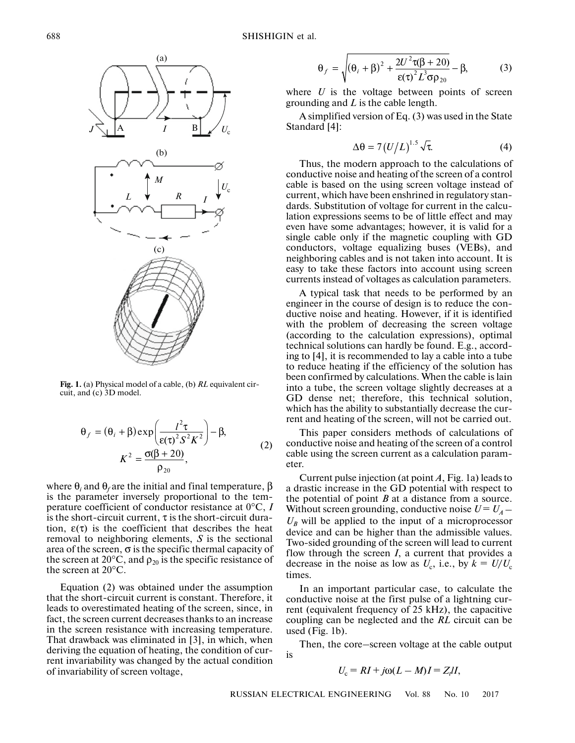

**Fig. 1.** (a) Physical model of a cable, (b) *RL* equivalent circuit, and (c) 3D model.

$$
\theta_f = (\theta_i + \beta) \exp\left(\frac{l^2 \tau}{\epsilon(\tau)^2 S^2 K^2}\right) - \beta,
$$
  

$$
K^2 = \frac{\sigma(\beta + 20)}{\rho_{20}},
$$
 (2)

where  $θ$ <sub>*i*</sub> and  $θ$ <sub>*f*</sub> are the initial and final temperature,  $β$ is the parameter inversely proportional to the temperature coefficient of conductor resistance at 0°C, *I* is the short-circuit current,  $\tau$  is the short-circuit duration,  $\epsilon(\tau)$  is the coefficient that describes the heat removal to neighboring elements, *S* is the sectional area of the screen,  $\sigma$  is the specific thermal capacity of the screen at 20 $\degree$ C, and  $\rho_{20}$  is the specific resistance of the screen at 20°C.

Equation (2) was obtained under the assumption that the short-circuit current is constant. Therefore, it leads to overestimated heating of the screen, since, in fact, the screen current decreases thanks to an increase in the screen resistance with increasing temperature. That drawback was eliminated in [3], in which, when deriving the equation of heating, the condition of current invariability was changed by the actual condition of invariability of screen voltage,

$$
\Theta_f = \sqrt{(\Theta_i + \beta)^2 + \frac{2U^2 \tau (\beta + 20)}{\epsilon(\tau)^2 L^3 \sigma \rho_{20}} - \beta},
$$
 (3)

where  $U$  is the voltage between points of screen grounding and *L* is the cable length.

A simplified version of Eq. (3) was used in the State Standard [4]:

$$
\Delta \theta = 7(U/L)^{1.5} \sqrt{\tau}.
$$
 (4)

Thus, the modern approach to the calculations of conductive noise and heating of the screen of a control cable is based on the using screen voltage instead of current, which have been enshrined in regulatory standards. Substitution of voltage for current in the calculation expressions seems to be of little effect and may even have some advantages; however, it is valid for a single cable only if the magnetic coupling with GD conductors, voltage equalizing buses (VEBs), and neighboring cables and is not taken into account. It is easy to take these factors into account using screen currents instead of voltages as calculation parameters.

A typical task that needs to be performed by an engineer in the course of design is to reduce the conductive noise and heating. However, if it is identified with the problem of decreasing the screen voltage (according to the calculation expressions), optimal technical solutions can hardly be found. E.g., according to [4], it is recommended to lay a cable into a tube to reduce heating if the efficiency of the solution has been confirmed by calculations. When the cable is lain into a tube, the screen voltage slightly decreases at a GD dense net; therefore, this technical solution, which has the ability to substantially decrease the current and heating of the screen, will not be carried out.

This paper considers methods of calculations of conductive noise and heating of the screen of a control cable using the screen current as a calculation parameter.

Current pulse injection (at point *A*, Fig. 1a) leads to a drastic increase in the GD potential with respect to the potential of point *B* at a distance from a source. Without screen grounding, conductive noise  $U = U_A U_B$  will be applied to the input of a microprocessor device and can be higher than the admissible values. Two-sided grounding of the screen will lead to current flow through the screen *I*, a current that provides a decrease in the noise as low as  $U_c$ , i.e., by  $k = U/U_c$ times.

In an important particular case, to calculate the conductive noise at the first pulse of a lightning current (equivalent frequency of 25 kHz), the capacitive coupling can be neglected and the *RL* circuit can be used (Fig. 1b).

Then, the core–screen voltage at the cable output is

$$
U_{\rm c}=RI+j\omega(L-M)I=Z_{\rm r}II,
$$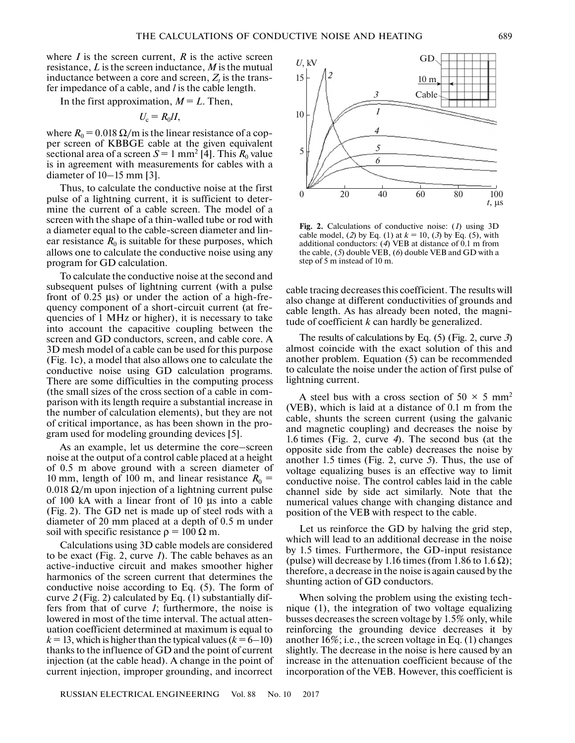15

*2*

where  $I$  is the screen current,  $R$  is the active screen resistance, *L* is the screen inductance, *M* is the mutual inductance between a core and screen,  $Z_t$  is the transfer impedance of a cable, and *l* is the cable length.

In the first approximation,  $M = L$ . Then,

$$
U_{\rm c}=R_0II,
$$

where  $R_0 = 0.018 \Omega/m$  is the linear resistance of a copper screen of KBBGE cable at the given equivalent sectional area of a screen  $S = 1$  mm<sup>2</sup> [4]. This  $R_0$  value is in agreement with measurements for cables with a diameter of 10–15 mm [3].

Thus, to calculate the conductive noise at the first pulse of a lightning current, it is sufficient to determine the current of a cable screen. The model of a screen with the shape of a thin-walled tube or rod with a diameter equal to the cable-screen diameter and linear resistance  $R_0$  is suitable for these purposes, which allows one to calculate the conductive noise using any program for GD calculation.

To calculate the conductive noise at the second and subsequent pulses of lightning current (with a pulse front of 0.25 μs) or under the action of a high-frequency component of a short-circuit current (at frequencies of 1 MHz or higher), it is necessary to take into account the capacitive coupling between the screen and GD conductors, screen, and cable core. A 3D mesh model of a cable can be used for this purpose (Fig. 1c), a model that also allows one to calculate the conductive noise using GD calculation programs. There are some difficulties in the computing process (the small sizes of the cross section of a cable in comparison with its length require a substantial increase in the number of calculation elements), but they are not of critical importance, as has been shown in the program used for modeling grounding devices [5].

As an example, let us determine the core–screen noise at the output of a control cable placed at a height of 0.5 m above ground with a screen diameter of 10 mm, length of 100 m, and linear resistance  $R_0$  = 0.018  $\Omega/m$  upon injection of a lightning current pulse of 100 kA with a linear front of 10 μs into a cable (Fig. 2). The GD net is made up of steel rods with a diameter of 20 mm placed at a depth of 0.5 m under soil with specific resistance  $\rho = 100 \Omega$  m.

Calculations using 3D cable models are considered to be exact (Fig. 2, curve *1*). The cable behaves as an active-inductive circuit and makes smoother higher harmonics of the screen current that determines the conductive noise according to Eq. (5). The form of curve *2* (Fig. 2) calculated by Eq. (1) substantially differs from that of curve *1*; furthermore, the noise is lowered in most of the time interval. The actual attenuation coefficient determined at maximum is equal to  $k = 13$ , which is higher than the typical values ( $k = 6-10$ ) thanks to the influence of GD and the point of current injection (at the cable head). A change in the point of current injection, improper grounding, and incorrect cable tracing decreases this coefficient. The results will also change at different conductivities of grounds and cable length. As has already been noted, the magnitude of coefficient *k* can hardly be generalized.

additional conductors: (*4*) VEB at distance of 0.1 m from the cable, (*5*) double VEB, (*6*) double VEB and GD with a

step of 5 m instead of 10 m.

The results of calculations by Eq. (5) (Fig. 2, curve *3*) almost coincide with the exact solution of this and another problem. Equation (5) can be recommended to calculate the noise under the action of first pulse of lightning current.

A steel bus with a cross section of  $50 \times 5$  mm<sup>2</sup> (VEB), which is laid at a distance of 0.1 m from the cable, shunts the screen current (using the galvanic and magnetic coupling) and decreases the noise by 1.6 times (Fig. 2, curve *4*). The second bus (at the opposite side from the cable) decreases the noise by another 1.5 times (Fig. 2, curve *5*). Thus, the use of voltage equalizing buses is an effective way to limit conductive noise. The control cables laid in the cable channel side by side act similarly. Note that the numerical values change with changing distance and position of the VEB with respect to the cable.

Let us reinforce the GD by halving the grid step, which will lead to an additional decrease in the noise by 1.5 times. Furthermore, the GD-input resistance (pulse) will decrease by 1.16 times (from 1.86 to 1.6  $\Omega$ ); therefore, a decrease in the noise is again caused by the shunting action of GD conductors.

When solving the problem using the existing technique (1), the integration of two voltage equalizing busses decreases the screen voltage by 1.5% only, while reinforcing the grounding device decreases it by another 16%; i.e., the screen voltage in Eq. (1) changes slightly. The decrease in the noise is here caused by an increase in the attenuation coefficient because of the incorporation of the VEB. However, this coefficient is



10 m Cable

*3*

*U*, kV GD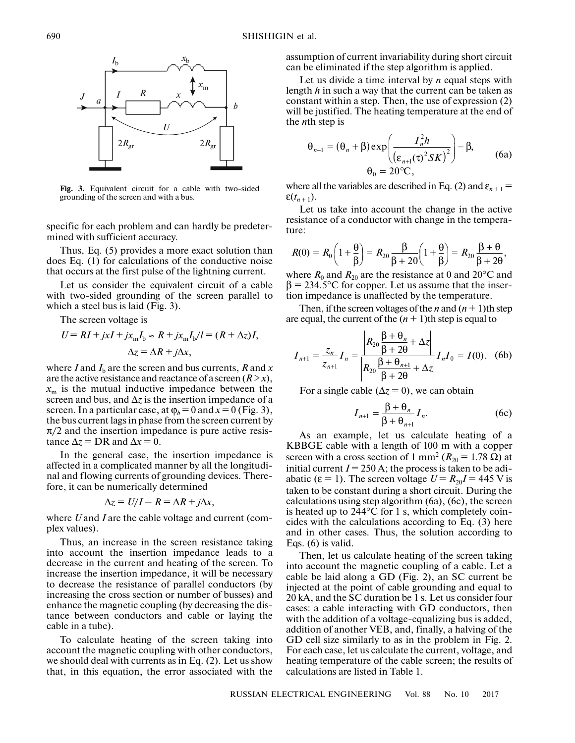

**Fig. 3.** Equivalent circuit for a cable with two-sided grounding of the screen and with a bus.

specific for each problem and can hardly be predetermined with sufficient accuracy.

Thus, Eq. (5) provides a more exact solution than does Eq. (1) for calculations of the conductive noise that occurs at the first pulse of the lightning current.

Let us consider the equivalent circuit of a cable with two-sided grounding of the screen parallel to which a steel bus is laid (Fig. 3).

The screen voltage is

$$
U = RI + jxI + jx_mI_b \approx R + jx_mI_b/l = (R + \Delta z)I,
$$
  

$$
\Delta z = \Delta R + j\Delta x,
$$

where *I* and  $I<sub>b</sub>$  are the screen and bus currents, *R* and *x* are the active resistance and reactance of a screen  $(R > x)$ ,  $x<sub>m</sub>$  is the mutual inductive impedance between the screen and bus, and  $\Delta z$  is the insertion impedance of a screen. In a particular case, at  $\varphi_b = 0$  and  $x = 0$  (Fig. 3), the bus current lags in phase from the screen current by  $\pi/2$  and the insertion impedance is pure active resistance  $\Delta z = \text{DR}$  and  $\Delta x = 0$ .

In the general case, the insertion impedance is affected in a complicated manner by all the longitudinal and flowing currents of grounding devices. Therefore, it can be numerically determined

$$
\Delta z = U/I - R = \Delta R + j\Delta x,
$$

where *U* and *I* are the cable voltage and current (complex values).

Thus, an increase in the screen resistance taking into account the insertion impedance leads to a decrease in the current and heating of the screen. To increase the insertion impedance, it will be necessary to decrease the resistance of parallel conductors (by increasing the cross section or number of busses) and enhance the magnetic coupling (by decreasing the distance between conductors and cable or laying the cable in a tube).

To calculate heating of the screen taking into account the magnetic coupling with other conductors, we should deal with currents as in Eq. (2). Let us show that, in this equation, the error associated with the assumption of current invariability during short circuit can be eliminated if the step algorithm is applied.

Let us divide a time interval by  $n$  equal steps with length *h* in such a way that the current can be taken as constant within a step. Then, the use of expression (2) will be justified. The heating temperature at the end of the *n*th step is

$$
\theta_{n+1} = (\theta_n + \beta) \exp\left(\frac{I_n^2 h}{(\varepsilon_{n+1}(\tau)^2 S K)^2}\right) - \beta,
$$
\n
$$
\theta_0 = 20^\circ \text{C},
$$
\n(6a)

where all the variables are described in Eq. (2) and  $\varepsilon_{n+1}$  =  $\mathcal{E}(t_{n+1})$ .

Let us take into account the change in the active resistance of a conductor with change in the temperature:

$$
R(0) = R_0 \left( 1 + \frac{\theta}{\beta} \right) = R_{20} \frac{\beta}{\beta + 20} \left( 1 + \frac{\theta}{\beta} \right) = R_{20} \frac{\beta + \theta}{\beta + 2\theta},
$$

where  $R_0$  and  $R_{20}$  are the resistance at 0 and 20<sup>o</sup>C and  $β = 234.5°C$  for copper. Let us assume that the insertion impedance is unaffected by the temperature.

Then, if the screen voltages of the *n* and  $(n + 1)$ th step are equal, the current of the  $(n + 1)$ th step is equal to

$$
I_{n+1} = \frac{z_n}{z_{n+1}} I_n = \frac{\left| R_{20} \frac{\beta + \theta_n}{\beta + 2\theta} + \Delta z \right|}{\left| R_{20} \frac{\beta + \theta_{n+1}}{\beta + 2\theta} + \Delta z \right|} I_n I_0 = I(0). \quad (6b)
$$

For a single cable  $(\Delta z = 0)$ , we can obtain

$$
I_{n+1} = \frac{\beta + \theta_n}{\beta + \theta_{n+1}} I_n.
$$
 (6c)

As an example, let us calculate heating of a KBBGE cable with a length of 100 m with a copper screen with a cross section of 1 mm<sup>2</sup> ( $R_{20} = 1.78 \Omega$ ) at initial current  $I = 250$  A; the process is taken to be adiabatic ( $\varepsilon = 1$ ). The screen voltage  $U = R_{20}I = 445$  V is taken to be constant during a short circuit. During the calculations using step algorithm (6a), (6c), the screen is heated up to 244°C for 1 s, which completely coincides with the calculations according to Eq. (3) here and in other cases. Thus, the solution according to Eqs. (6) is valid.

Then, let us calculate heating of the screen taking into account the magnetic coupling of a cable. Let a cable be laid along a GD (Fig. 2), an SC current be injected at the point of cable grounding and equal to 20 kA, and the SC duration be 1 s. Let us consider four cases: a cable interacting with GD conductors, then with the addition of a voltage-equalizing bus is added, addition of another VEB, and, finally, a halving of the GD cell size similarly to as in the problem in Fig. 2. For each case, let us calculate the current, voltage, and heating temperature of the cable screen; the results of calculations are listed in Table 1.